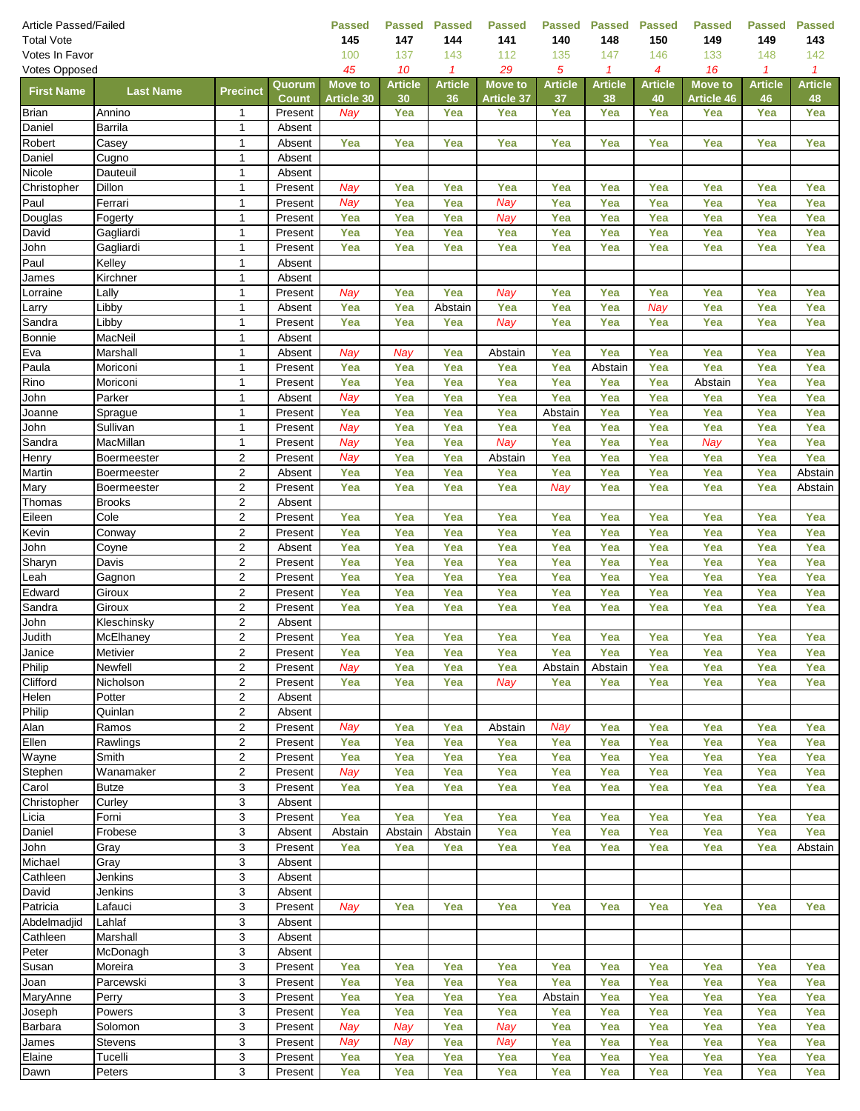| <b>Article Passed/Failed</b> |                           |                                    |                        | <b>Passed</b>                       | <b>Passed</b>        | <b>Passed</b>        | <b>Passed</b>            | <b>Passed</b>        | <b>Passed</b>        | <b>Passed</b>        | <b>Passed</b>                | <b>Passed</b>        | <b>Passed</b>        |
|------------------------------|---------------------------|------------------------------------|------------------------|-------------------------------------|----------------------|----------------------|--------------------------|----------------------|----------------------|----------------------|------------------------------|----------------------|----------------------|
| <b>Total Vote</b>            |                           |                                    |                        | 145                                 | 147                  | 144                  | 141                      | 140                  | 148                  | 150                  | 149                          | 149                  | 143                  |
| Votes In Favor               | 100                       | 137                                | 143                    | 112                                 | 135                  | 147                  | 146                      | 133                  | 148                  | 142                  |                              |                      |                      |
| <b>Votes Opposed</b>         |                           |                                    |                        | 45                                  | 10                   | $\mathbf{1}$         | 29                       | 5                    | $\mathcal I$         | 4                    | 16                           | $\mathcal I$         | $\mathcal I$         |
| <b>First Name</b>            | <b>Last Name</b>          | <b>Precinct</b>                    | Quorum<br><b>Count</b> | <b>Move to</b><br><b>Article 30</b> | <b>Article</b><br>30 | <b>Article</b><br>36 | <b>Move to</b>           | <b>Article</b><br>37 | <b>Article</b><br>38 | <b>Article</b><br>40 | <b>Move to</b><br>Article 46 | <b>Article</b><br>46 | <b>Article</b><br>48 |
| <b>Brian</b>                 | Annino                    | 1                                  | Present                | Nay                                 | Yea                  | Yea                  | <b>Article 37</b><br>Yea | Yea                  | Yea                  | Yea                  | Yea                          | Yea                  | Yea                  |
| Daniel                       | <b>Barrila</b>            | $\mathbf{1}$                       | Absent                 |                                     |                      |                      |                          |                      |                      |                      |                              |                      |                      |
| Robert                       | Casey                     | $\mathbf{1}$                       | Absent                 | Yea                                 | Yea                  | Yea                  | Yea                      | Yea                  | Yea                  | Yea                  | Yea                          | Yea                  | Yea                  |
| Daniel                       | Cugno                     | $\mathbf{1}$                       | Absent                 |                                     |                      |                      |                          |                      |                      |                      |                              |                      |                      |
| Nicole                       | Dauteuil                  | $\mathbf{1}$                       | Absent                 |                                     |                      |                      |                          |                      |                      |                      |                              |                      |                      |
| Christopher                  | Dillon                    | $\mathbf{1}$                       | Present                | Nay                                 | Yea                  | Yea                  | Yea                      | Yea                  | Yea                  | Yea                  | Yea                          | Yea                  | Yea                  |
| Paul                         | Ferrari                   | $\mathbf{1}$                       | Present                | Nay                                 | Yea                  | Yea                  | Nay                      | Yea                  | Yea                  | Yea                  | Yea                          | Yea                  | Yea                  |
| Douglas                      | Fogerty                   | $\mathbf{1}$                       | Present                | Yea                                 | Yea                  | Yea                  | Nay                      | Yea                  | Yea                  | Yea                  | Yea                          | Yea                  | Yea                  |
| David                        | Gagliardi                 | $\mathbf{1}$                       | Present                | Yea                                 | Yea                  | Yea                  | Yea                      | Yea                  | Yea                  | Yea                  | Yea                          | Yea                  | Yea                  |
| John                         | Gagliardi                 | $\mathbf{1}$                       | Present                | Yea                                 | Yea                  | Yea                  | Yea                      | Yea                  | Yea                  | Yea                  | Yea                          | Yea                  | Yea                  |
| Paul                         | Kelley                    | 1                                  | Absent                 |                                     |                      |                      |                          |                      |                      |                      |                              |                      |                      |
| James                        | Kirchner                  | $\mathbf{1}$                       | Absent                 |                                     |                      |                      |                          |                      |                      |                      |                              |                      |                      |
| Lorraine                     | Lally                     | $\mathbf{1}$                       | Present                | Nay                                 | Yea                  | Yea                  | Nay                      | Yea                  | Yea                  | Yea                  | Yea                          | Yea                  | Yea                  |
| Larry                        | Libby                     | $\mathbf{1}$                       | Absent                 | Yea                                 | Yea                  | Abstain              | Yea                      | Yea                  | Yea                  | Nay                  | Yea                          | Yea                  | Yea                  |
| Sandra<br>Bonnie             | Libby<br>MacNeil          | $\mathbf{1}$<br>$\mathbf{1}$       | Present<br>Absent      | Yea                                 | Yea                  | Yea                  | Nay                      | Yea                  | Yea                  | Yea                  | Yea                          | Yea                  | Yea                  |
| Eva                          | Marshall                  | $\mathbf{1}$                       | Absent                 | Nay                                 | Nay                  | Yea                  | Abstain                  | Yea                  | Yea                  | Yea                  | Yea                          | Yea                  | Yea                  |
| Paula                        | Moriconi                  | $\mathbf{1}$                       | Present                | Yea                                 | Yea                  | Yea                  | Yea                      | Yea                  | Abstain              | Yea                  | Yea                          | Yea                  | Yea                  |
| Rino                         | Moriconi                  | $\mathbf{1}$                       | Present                | Yea                                 | Yea                  | Yea                  | Yea                      | Yea                  | Yea                  | Yea                  | Abstain                      | Yea                  | Yea                  |
| John                         | Parker                    | $\mathbf{1}$                       | Absent                 | Nay                                 | Yea                  | Yea                  | Yea                      | Yea                  | Yea                  | Yea                  | Yea                          | Yea                  | Yea                  |
| Joanne                       | Sprague                   | $\mathbf{1}$                       | Present                | Yea                                 | Yea                  | Yea                  | Yea                      | Abstain              | Yea                  | Yea                  | Yea                          | Yea                  | Yea                  |
| John                         | Sullivan                  | $\mathbf{1}$                       | Present                | Nay                                 | Yea                  | Yea                  | Yea                      | Yea                  | Yea                  | Yea                  | Yea                          | Yea                  | Yea                  |
| Sandra                       | MacMillan                 | $\mathbf{1}$                       | Present                | Nay                                 | Yea                  | Yea                  | Nay                      | Yea                  | Yea                  | Yea                  | Nay                          | Yea                  | Yea                  |
| Henry                        | <b>Boermeester</b>        | 2                                  | Present                | Nay                                 | Yea                  | Yea                  | Abstain                  | Yea                  | Yea                  | Yea                  | Yea                          | Yea                  | Yea                  |
| Martin                       | Boermeester               | $\overline{2}$                     | Absent                 | Yea                                 | Yea                  | Yea                  | Yea                      | Yea                  | Yea                  | Yea                  | Yea                          | Yea                  | Abstain              |
| Mary                         | Boermeester               | $\overline{2}$                     | Present                | Yea                                 | Yea                  | Yea                  | Yea                      | Nay                  | Yea                  | Yea                  | Yea                          | Yea                  | Abstain              |
| Thomas                       | <b>Brooks</b>             | 2                                  | Absent                 |                                     |                      |                      |                          |                      |                      |                      |                              |                      |                      |
| Eileen                       | Cole                      | $\boldsymbol{2}$                   | Present                | Yea                                 | Yea                  | Yea                  | Yea                      | Yea                  | Yea                  | Yea                  | Yea                          | Yea                  | Yea                  |
| Kevin                        | Conway                    | $\overline{2}$                     | Present                | Yea                                 | Yea                  | Yea                  | Yea                      | Yea                  | Yea                  | Yea                  | Yea                          | Yea                  | Yea                  |
| John                         | Coyne                     | $\boldsymbol{2}$                   | Absent                 | Yea                                 | Yea                  | Yea                  | Yea                      | Yea                  | Yea                  | Yea                  | Yea                          | Yea                  | Yea                  |
| Sharyn<br>Leah               | Davis                     | $\boldsymbol{2}$                   | Present<br>Present     | Yea<br>Yea                          | Yea<br>Yea           | Yea<br>Yea           | Yea<br>Yea               | Yea<br>Yea           | Yea<br>Yea           | Yea<br>Yea           | Yea<br>Yea                   | Yea<br>Yea           | Yea<br>Yea           |
| Edward                       | Gagnon<br>Giroux          | $\boldsymbol{2}$<br>$\overline{2}$ | Present                | Yea                                 | Yea                  | Yea                  | Yea                      | Yea                  | Yea                  | Yea                  | Yea                          | Yea                  | Yea                  |
| Sandra                       | Giroux                    | $\overline{2}$                     | Present                | Yea                                 | Yea                  | Yea                  | Yea                      | Yea                  | Yea                  | Yea                  | Yea                          | Yea                  | Yea                  |
| John                         | Kleschinsky               | $\mathbf 2$                        | Absent                 |                                     |                      |                      |                          |                      |                      |                      |                              |                      |                      |
| Judith                       | McElhaney                 | $\overline{c}$                     | Present                | Yea                                 | Yea                  | Yea                  | Yea                      | Yea                  | Yea                  | Yea                  | Yea                          | Yea                  | Yea                  |
| Janice                       | <b>Metivier</b>           | 2                                  | Present                | Yea                                 | Yea                  | Yea                  | Yea                      | Yea                  | Yea                  | Yea                  | Yea                          | Yea                  | Yea                  |
| Philip                       | Newfell                   | $\mathbf{2}$                       | Present                | Nay                                 | Yea                  | Yea                  | Yea                      | Abstain              | Abstain              | Yea                  | Yea                          | Yea                  | Yea                  |
| Clifford                     | Nicholson                 | $\boldsymbol{2}$                   | Present                | Yea                                 | Yea                  | Yea                  | Nay                      | Yea                  | Yea                  | Yea                  | Yea                          | Yea                  | Yea                  |
| Helen                        | Potter                    | $\boldsymbol{2}$                   | Absent                 |                                     |                      |                      |                          |                      |                      |                      |                              |                      |                      |
| Philip                       | Quinlan                   | 2                                  | Absent                 |                                     |                      |                      |                          |                      |                      |                      |                              |                      |                      |
| Alan                         | Ramos                     | $\boldsymbol{2}$                   | Present                | Nay                                 | Yea                  | Yea                  | Abstain                  | Nay                  | Yea                  | Yea                  | Yea                          | Yea                  | Yea                  |
| Ellen                        | Rawlings                  | $\overline{2}$                     | Present                | Yea                                 | Yea                  | Yea                  | Yea                      | Yea                  | Yea                  | Yea                  | Yea                          | Yea                  | Yea                  |
| Wayne                        | Smith                     | $\boldsymbol{2}$                   | Present                | Yea                                 | Yea                  | Yea                  | Yea                      | Yea                  | Yea                  | Yea                  | Yea                          | Yea                  | Yea                  |
| Stephen                      | Wanamaker                 | $\boldsymbol{2}$                   | Present                | Nay                                 | Yea                  | Yea                  | Yea                      | Yea                  | Yea                  | Yea                  | Yea                          | Yea                  | Yea                  |
| Carol<br>Christopher         | <b>Butze</b><br>Curley    | 3<br>3                             | Present<br>Absent      | Yea                                 | Yea                  | Yea                  | Yea                      | Yea                  | Yea                  | Yea                  | Yea                          | Yea                  | Yea                  |
| Licia                        | Forni                     | 3                                  | Present                | Yea                                 | Yea                  | Yea                  | Yea                      | Yea                  | Yea                  | Yea                  | Yea                          | Yea                  | Yea                  |
| Daniel                       | Frobese                   | 3                                  | Absent                 | Abstain                             | Abstain              | Abstain              | Yea                      | Yea                  | Yea                  | Yea                  | Yea                          | Yea                  | Yea                  |
| John                         | Gray                      | $\ensuremath{\mathsf{3}}$          | Present                | Yea                                 | Yea                  | Yea                  | Yea                      | Yea                  | Yea                  | Yea                  | Yea                          | Yea                  | Abstain              |
| Michael                      | Gray                      | 3                                  | Absent                 |                                     |                      |                      |                          |                      |                      |                      |                              |                      |                      |
| Cathleen                     | Jenkins                   | $\ensuremath{\mathsf{3}}$          | Absent                 |                                     |                      |                      |                          |                      |                      |                      |                              |                      |                      |
| David                        | Jenkins                   | 3                                  | Absent                 |                                     |                      |                      |                          |                      |                      |                      |                              |                      |                      |
| Patricia                     | Lafauci                   | 3                                  | Present                | Nay                                 | Yea                  | Yea                  | Yea                      | Yea                  | Yea                  | Yea                  | Yea                          | Yea                  | Yea                  |
| Abdelmadjid                  | Lahlaf                    | 3                                  | Absent                 |                                     |                      |                      |                          |                      |                      |                      |                              |                      |                      |
| Cathleen                     | Marshall                  | 3                                  | Absent                 |                                     |                      |                      |                          |                      |                      |                      |                              |                      |                      |
| Peter                        | McDonagh                  | 3                                  | Absent                 |                                     |                      |                      |                          |                      |                      |                      |                              |                      |                      |
| Susan                        | Moreira                   | 3                                  | Present                | Yea                                 | Yea                  | Yea                  | Yea                      | Yea                  | Yea                  | Yea                  | Yea                          | Yea                  | Yea                  |
| Joan                         | Parcewski                 | 3                                  | Present                | Yea                                 | Yea                  | Yea                  | Yea                      | Yea                  | Yea                  | Yea                  | Yea                          | Yea                  | Yea                  |
| MaryAnne                     | Perry                     | 3                                  | Present                | Yea                                 | Yea                  | Yea                  | Yea                      | Abstain              | Yea                  | Yea                  | Yea                          | Yea                  | Yea                  |
| Joseph                       | Powers                    | 3                                  | Present                | Yea                                 | Yea                  | Yea                  | Yea                      | Yea                  | Yea                  | Yea                  | Yea                          | Yea                  | Yea                  |
| Barbara<br>James             | Solomon                   | $\ensuremath{\mathsf{3}}$<br>3     | Present<br>Present     | Nay<br>Nay                          | Nay<br>Nay           | Yea<br>Yea           | Nay<br>Nay               | Yea<br>Yea           | Yea<br>Yea           | Yea<br>Yea           | Yea<br>Yea                   | Yea<br>Yea           | Yea<br>Yea           |
| Elaine                       | <b>Stevens</b><br>Tucelli | 3                                  | Present                | Yea                                 | Yea                  | Yea                  | Yea                      | Yea                  | Yea                  | Yea                  | Yea                          | Yea                  | Yea                  |
| Dawn                         | Peters                    | 3                                  | Present                | Yea                                 | Yea                  | Yea                  | Yea                      | Yea                  | Yea                  | Yea                  | Yea                          | Yea                  | Yea                  |
|                              |                           |                                    |                        |                                     |                      |                      |                          |                      |                      |                      |                              |                      |                      |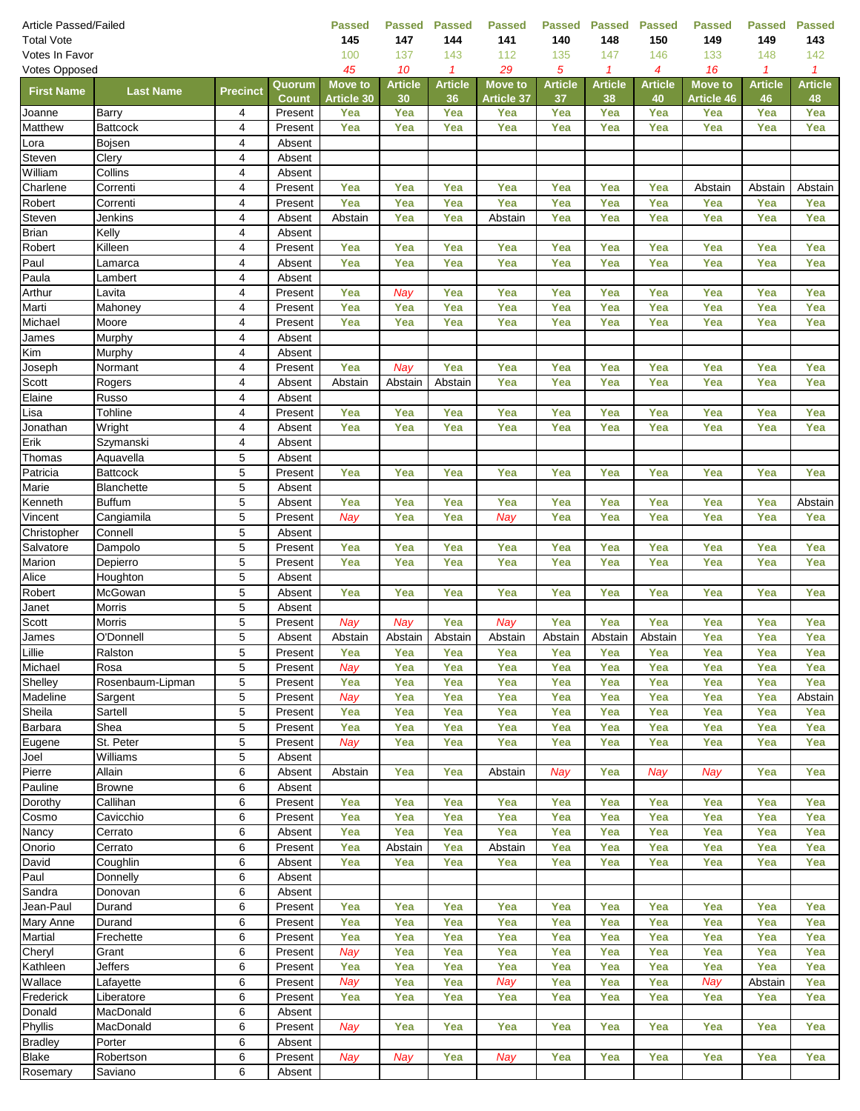| <b>Article Passed/Failed</b>  |                    |                              |                         | <b>Passed</b>            | <b>Passed</b>  | <b>Passed</b>  | <b>Passed</b>     | <b>Passed</b>  | <b>Passed</b>  | <b>Passed</b>  | <b>Passed</b>     | <b>Passed</b>  | <b>Passed</b>  |
|-------------------------------|--------------------|------------------------------|-------------------------|--------------------------|----------------|----------------|-------------------|----------------|----------------|----------------|-------------------|----------------|----------------|
| <b>Total Vote</b>             |                    |                              |                         | 145                      | 147            | 144            | 141               | 140            | 148            | 150            | 149               | 149            | 143            |
| Votes In Favor                |                    |                              |                         | 100                      | 137            | 143            | 112               | 135            | 147            | 146            | 133               | 148            | 142            |
| Votes Opposed                 |                    |                              |                         | 45                       | 10             | $\mathbf{1}$   | 29                | 5              | $\mathcal I$   | 4              | 16                | $\mathcal I$   | $\mathbf{1}$   |
| <b>First Name</b>             | <b>Last Name</b>   | <b>Precinct</b>              | Quorum                  | <b>Move to</b>           | <b>Article</b> | <b>Article</b> | <b>Move to</b>    | <b>Article</b> | <b>Article</b> | <b>Article</b> | <b>Move to</b>    | <b>Article</b> | <b>Article</b> |
|                               | Barry              | 4                            | <b>Count</b><br>Present | <b>Article 30</b><br>Yea | 30<br>Yea      | 36<br>Yea      | Article 37<br>Yea | 37<br>Yea      | 38<br>Yea      | 40<br>Yea      | Article 46<br>Yea | 46<br>Yea      | 48<br>Yea      |
| Joanne<br>Matthew             | <b>Battcock</b>    | $\overline{\mathbf{4}}$      | Present                 | Yea                      | Yea            | Yea            | Yea               | Yea            | Yea            | Yea            | Yea               | Yea            | Yea            |
| Lora                          | Bojsen             | $\pmb{4}$                    | Absent                  |                          |                |                |                   |                |                |                |                   |                |                |
| Steven                        | Clery              | $\overline{4}$               | Absent                  |                          |                |                |                   |                |                |                |                   |                |                |
| William                       | Collins            | 4                            | Absent                  |                          |                |                |                   |                |                |                |                   |                |                |
| Charlene                      | Correnti           | $\overline{4}$               | Present                 | Yea                      | Yea            | Yea            | Yea               | Yea            | Yea            | Yea            | Abstain           | Abstain        | Abstain        |
| Robert                        | Correnti           | $\overline{\mathbf{4}}$      | Present                 | Yea                      | Yea            | Yea            | Yea               | Yea            | Yea            | Yea            | Yea               | Yea            | Yea            |
| Steven                        | Jenkins            | 4                            | Absent                  | Abstain                  | Yea            | Yea            | Abstain           | Yea            | Yea            | Yea            | Yea               | Yea            | Yea            |
| <b>Brian</b>                  | Kelly              | 4                            | Absent                  |                          |                |                |                   |                |                |                |                   |                |                |
| Robert                        | Killeen            | 4                            | Present                 | Yea                      | Yea            | Yea            | Yea               | Yea            | Yea            | Yea            | Yea               | Yea            | Yea            |
| Paul                          | Lamarca            | $\overline{4}$               | Absent                  | Yea                      | Yea            | Yea            | Yea               | Yea            | Yea            | Yea            | Yea               | Yea            | Yea            |
| Paula                         | Lambert            | $\overline{\mathbf{4}}$      | Absent                  |                          |                |                |                   |                |                |                |                   |                |                |
| Arthur                        | Lavita             | $\overline{4}$               | Present                 | Yea                      | Nay            | Yea            | Yea               | Yea            | Yea            | Yea            | Yea               | Yea            | Yea            |
| Marti                         | Mahoney            | 4                            | Present                 | Yea                      | Yea            | Yea            | Yea               | Yea            | Yea            | Yea            | Yea               | Yea            | Yea            |
| Michael                       | Moore              | $\overline{4}$               | Present                 | Yea                      | Yea            | Yea            | Yea               | Yea            | Yea            | Yea            | Yea               | Yea            | Yea            |
| James                         | Murphy             | $\overline{\mathbf{4}}$      | Absent                  |                          |                |                |                   |                |                |                |                   |                |                |
| Kim                           | Murphy             | 4                            | Absent                  | Yea                      |                | Yea            |                   |                |                |                |                   |                | Yea            |
| Joseph<br>Scott               | Normant<br>Rogers  | 4<br>$\overline{\mathbf{4}}$ | Present                 | Abstain                  | Nay            | Abstain        | Yea<br>Yea        | Yea<br>Yea     | Yea<br>Yea     | Yea<br>Yea     | Yea<br>Yea        | Yea<br>Yea     | Yea            |
| Elaine                        | Russo              | $\overline{\mathbf{4}}$      | Absent<br>Absent        |                          | Abstain        |                |                   |                |                |                |                   |                |                |
| Lisa                          | Tohline            | 4                            | Present                 | Yea                      | Yea            | Yea            | Yea               | Yea            | Yea            | Yea            | Yea               | Yea            | Yea            |
| Jonathan                      | Wright             | $\overline{4}$               | Absent                  | Yea                      | Yea            | Yea            | Yea               | Yea            | Yea            | Yea            | Yea               | Yea            | Yea            |
| Erik                          | Szymanski          | $\overline{4}$               | Absent                  |                          |                |                |                   |                |                |                |                   |                |                |
| Thomas                        | Aquavella          | $\sqrt{5}$                   | Absent                  |                          |                |                |                   |                |                |                |                   |                |                |
| Patricia                      | <b>Battcock</b>    | $\,$ 5 $\,$                  | Present                 | Yea                      | Yea            | Yea            | Yea               | Yea            | Yea            | Yea            | Yea               | Yea            | Yea            |
| Marie                         | Blanchette         | $\,$ 5 $\,$                  | Absent                  |                          |                |                |                   |                |                |                |                   |                |                |
| Kenneth                       | <b>Buffum</b>      | 5                            | Absent                  | Yea                      | Yea            | Yea            | Yea               | Yea            | Yea            | Yea            | Yea               | Yea            | Abstain        |
| Vincent                       | Cangiamila         | $\,$ 5 $\,$                  | Present                 | Nay                      | Yea            | Yea            | Nay               | Yea            | Yea            | Yea            | Yea               | Yea            | Yea            |
| Christopher                   | Connell            | $\overline{5}$               | Absent                  |                          |                |                |                   |                |                |                |                   |                |                |
| Salvatore                     | Dampolo            | $\sqrt{5}$                   | Present                 | Yea                      | Yea            | Yea            | Yea               | Yea            | Yea            | Yea            | Yea               | Yea            | Yea            |
| Marion                        | Depierro           | 5                            | Present                 | Yea                      | Yea            | Yea            | Yea               | Yea            | Yea            | Yea            | Yea               | Yea            | Yea            |
| Alice                         | Houghton           | 5                            | Absent                  |                          |                |                |                   |                |                |                |                   |                |                |
| Robert                        | McGowan            | $\sqrt{5}$                   | Absent                  | Yea                      | Yea            | Yea            | Yea               | Yea            | Yea            | Yea            | Yea               | Yea            | Yea            |
| Janet                         | <b>Morris</b>      | $\overline{5}$               | Absent                  |                          |                |                |                   |                |                |                |                   |                |                |
| Scott                         | <b>Morris</b>      | $\,$ 5 $\,$                  | Present                 | Nay                      | Nay            | Yea            | Nay               | Yea            | Yea            | Yea            | Yea               | Yea            | Yea            |
| James                         | O'Donnell          | 5                            | Absent                  | Abstain                  | Abstain        | Abstain        | Abstain           | Abstain        | Abstain        | Abstain        | Yea               | Yea            | Yea            |
| Lillie<br>Michael             | Ralston<br>Rosa    | 5<br>5                       | Present<br>Present      | Yea<br>Nav               | Yea<br>Yea     | Yea<br>Yea     | Yea<br>Yea        | Yea<br>Yea     | Yea<br>Yea     | Yea<br>Yea     | Yea<br>Yea        | Yea<br>Yea     | Yea<br>Yea     |
| Shelley                       | Rosenbaum-Lipman   | 5                            | Present                 | Yea                      | Yea            | Yea            | Yea               | Yea            | Yea            | Yea            | Yea               | Yea            | Yea            |
| Madeline                      | Sargent            | 5                            | Present                 | Nay                      | Yea            | Yea            | Yea               | Yea            | Yea            | Yea            | Yea               | Yea            | Abstain        |
| Sheila                        | Sartell            | 5                            | Present                 | Yea                      | Yea            | Yea            | Yea               | Yea            | Yea            | Yea            | Yea               | Yea            | Yea            |
| <b>Barbara</b>                | Shea               | $\,$ 5 $\,$                  | Present                 | Yea                      | Yea            | Yea            | Yea               | Yea            | Yea            | Yea            | Yea               | Yea            | Yea            |
| Eugene                        | St. Peter          | 5                            | Present                 | Nay                      | Yea            | Yea            | Yea               | Yea            | Yea            | Yea            | Yea               | Yea            | Yea            |
| Joel                          | Williams           | 5                            | Absent                  |                          |                |                |                   |                |                |                |                   |                |                |
| Pierre                        | Allain             | 6                            | Absent                  | Abstain                  | Yea            | Yea            | Abstain           | Nay            | Yea            | Nay            | Nay               | Yea            | Yea            |
| Pauline                       | <b>Browne</b>      | 6                            | Absent                  |                          |                |                |                   |                |                |                |                   |                |                |
| Dorothy                       | Callihan           | 6                            | Present                 | Yea                      | Yea            | Yea            | Yea               | Yea            | Yea            | Yea            | Yea               | Yea            | Yea            |
| Cosmo                         | Cavicchio          | 6                            | Present                 | Yea                      | Yea            | Yea            | Yea               | Yea            | Yea            | Yea            | Yea               | Yea            | Yea            |
| Nancy                         | Cerrato            | 6                            | Absent                  | Yea                      | Yea            | Yea            | Yea               | Yea            | Yea            | Yea            | Yea               | Yea            | Yea            |
| Onorio                        | Cerrato            | 6                            | Present                 | Yea                      | Abstain        | Yea            | Abstain           | Yea            | Yea            | Yea            | Yea               | Yea            | Yea            |
| David                         | Coughlin           | 6                            | Absent                  | Yea                      | Yea            | Yea            | Yea               | Yea            | Yea            | Yea            | Yea               | Yea            | Yea            |
| Paul                          | Donnelly           | 6                            | Absent                  |                          |                |                |                   |                |                |                |                   |                |                |
| Sandra                        | Donovan            | 6                            | Absent                  |                          |                |                |                   |                |                |                |                   |                |                |
| Jean-Paul<br><b>Mary Anne</b> | Durand             | 6                            | Present                 | Yea                      | Yea            | Yea            | Yea               | Yea            | Yea            | Yea            | Yea               | Yea            | Yea            |
| <b>Martial</b>                | Durand             | 6<br>6                       | Present<br>Present      | Yea                      | Yea<br>Yea     | Yea<br>Yea     | Yea<br>Yea        | Yea<br>Yea     | Yea<br>Yea     | Yea<br>Yea     | Yea<br>Yea        | Yea<br>Yea     | Yea<br>Yea     |
| Cheryl                        | Frechette<br>Grant | 6                            | Present                 | Yea<br>Nay               | Yea            | Yea            | Yea               | Yea            | Yea            | Yea            | Yea               | Yea            | Yea            |
| Kathleen                      | Jeffers            | 6                            | Present                 | Yea                      | Yea            | Yea            | Yea               | Yea            | Yea            | Yea            | Yea               | Yea            | Yea            |
| Wallace                       | Lafayette          | 6                            | Present                 | Nay                      | Yea            | Yea            | Nay               | Yea            | Yea            | Yea            | Nay               | Abstain        | Yea            |
| Frederick                     | Liberatore         | 6                            | Present                 | Yea                      | Yea            | Yea            | Yea               | Yea            | Yea            | Yea            | Yea               | Yea            | Yea            |
| Donald                        | MacDonald          | 6                            | Absent                  |                          |                |                |                   |                |                |                |                   |                |                |
| Phyllis                       | MacDonald          | 6                            | Present                 | Nay                      | Yea            | Yea            | Yea               | Yea            | Yea            | Yea            | Yea               | Yea            | Yea            |
| <b>Bradley</b>                | Porter             | 6                            | Absent                  |                          |                |                |                   |                |                |                |                   |                |                |
| <b>Blake</b>                  | Robertson          | 6                            | Present                 | Nay                      | Nay            | Yea            | Nay               | Yea            | Yea            | Yea            | Yea               | Yea            | Yea            |
| Rosemary                      | Saviano            | 6                            | Absent                  |                          |                |                |                   |                |                |                |                   |                |                |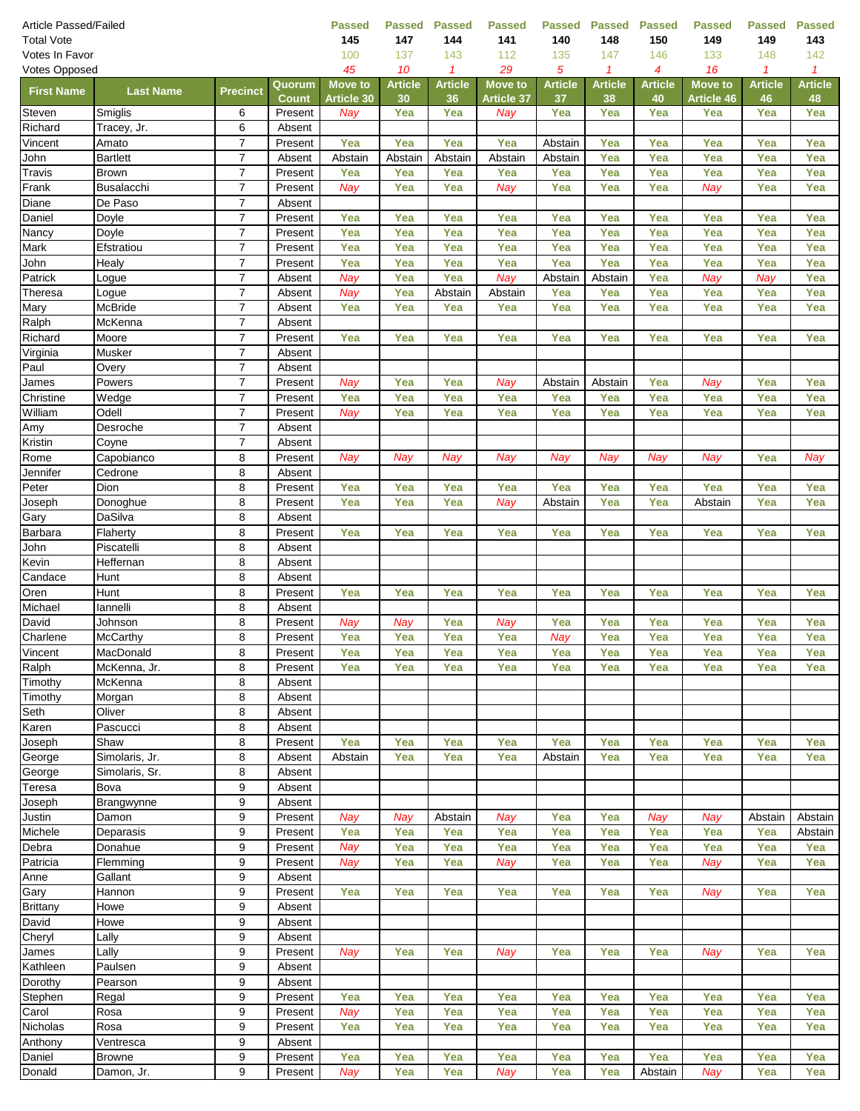| <b>Article Passed/Failed</b> |                         |                                  |                        | <b>Passed</b>                       | <b>Passed</b>        | <b>Passed</b>        | <b>Passed</b>     | <b>Passed</b>        | <b>Passed</b>        | <b>Passed</b>        | Passed                       | <b>Passed</b>        | <b>Passed</b>        |
|------------------------------|-------------------------|----------------------------------|------------------------|-------------------------------------|----------------------|----------------------|-------------------|----------------------|----------------------|----------------------|------------------------------|----------------------|----------------------|
| <b>Total Vote</b>            | 145                     | 147                              | 144                    | 141                                 | 140                  | 148                  | 150               | 149                  | 149                  | 143                  |                              |                      |                      |
| Votes In Favor               | 100                     | 137                              | 143                    | 112                                 | 135                  | 147                  | 146               | 133                  | 148                  | 142                  |                              |                      |                      |
| Votes Opposed                |                         |                                  |                        | 45                                  | 10                   | $\mathbf{1}$         | 29                | 5                    | $\mathcal I$         | 4                    | 16                           | $\mathcal I$         | $\mathcal I$         |
| <b>First Name</b>            | <b>Last Name</b>        | <b>Precinct</b>                  | Quorum<br><b>Count</b> | <b>Move to</b><br><b>Article 30</b> | <b>Article</b><br>30 | <b>Article</b><br>36 | <b>Move to</b>    | <b>Article</b><br>37 | <b>Article</b><br>38 | <b>Article</b><br>40 | <b>Move to</b><br>Article 46 | <b>Article</b><br>46 | <b>Article</b><br>48 |
| Steven                       | Smiglis                 | 6                                | Present                | Nay                                 | Yea                  | Yea                  | Article 37<br>Nay | Yea                  | Yea                  | Yea                  | Yea                          | Yea                  | Yea                  |
| Richard                      | Tracey, Jr.             | $\,6$                            | Absent                 |                                     |                      |                      |                   |                      |                      |                      |                              |                      |                      |
| Vincent                      | Amato                   | $\overline{7}$                   | Present                | Yea                                 | Yea                  | Yea                  | Yea               | Abstain              | Yea                  | Yea                  | Yea                          | Yea                  | Yea                  |
| John                         | <b>Bartlett</b>         | $\boldsymbol{7}$                 | Absent                 | Abstain                             | Abstain              | Abstain              | Abstain           | Abstain              | Yea                  | Yea                  | Yea                          | Yea                  | Yea                  |
| Travis                       | <b>Brown</b>            | $\boldsymbol{7}$                 | Present                | Yea                                 | Yea                  | Yea                  | Yea               | Yea                  | Yea                  | Yea                  | Yea                          | Yea                  | Yea                  |
| Frank                        | <b>Busalacchi</b>       | $\overline{7}$                   | Present                | Nay                                 | Yea                  | Yea                  | Nay               | Yea                  | Yea                  | Yea                  | Nay                          | Yea                  | Yea                  |
| Diane                        | De Paso                 | $\overline{7}$                   | Absent                 |                                     |                      |                      |                   |                      |                      |                      |                              |                      |                      |
| Daniel                       | Doyle                   | $\overline{7}$                   | Present                | Yea                                 | Yea                  | Yea                  | Yea               | Yea                  | Yea                  | Yea                  | Yea                          | Yea                  | Yea                  |
| Nancy                        | Doyle                   | $\boldsymbol{7}$                 | Present                | Yea                                 | Yea                  | Yea                  | Yea               | Yea                  | Yea                  | Yea                  | Yea                          | Yea                  | Yea                  |
| Mark                         | Efstratiou              | $\boldsymbol{7}$                 | Present                | Yea                                 | Yea                  | Yea                  | Yea               | Yea                  | Yea                  | Yea                  | Yea                          | Yea                  | Yea                  |
| John                         | Healy                   | $\overline{7}$                   | Present                | Yea                                 | Yea                  | Yea                  | Yea               | Yea                  | Yea                  | Yea                  | Yea                          | Yea                  | Yea                  |
| Patrick                      | Logue                   | $\overline{7}$                   | Absent                 | Nay                                 | Yea                  | Yea                  | Nay               | Abstain              | Abstain              | Yea                  | Nay                          | Nay                  | Yea                  |
| Theresa                      | Logue                   | $\boldsymbol{7}$                 | Absent                 | Nay                                 | Yea                  | Abstain              | Abstain           | Yea                  | Yea                  | Yea                  | Yea                          | Yea                  | Yea                  |
| Mary                         | <b>McBride</b>          | $\overline{7}$<br>$\overline{7}$ | Absent                 | Yea                                 | Yea                  | Yea                  | Yea               | Yea                  | Yea                  | Yea                  | Yea                          | Yea                  | Yea                  |
| Ralph<br>Richard             | McKenna<br>Moore        | $\overline{7}$                   | Absent<br>Present      | Yea                                 | Yea                  | Yea                  | Yea               | Yea                  | Yea                  | Yea                  | Yea                          | Yea                  | Yea                  |
| Virginia                     | Musker                  | $\overline{7}$                   | Absent                 |                                     |                      |                      |                   |                      |                      |                      |                              |                      |                      |
| Paul                         | Overy                   | $\boldsymbol{7}$                 | Absent                 |                                     |                      |                      |                   |                      |                      |                      |                              |                      |                      |
| James                        | Powers                  | $\boldsymbol{7}$                 | Present                | Nay                                 | Yea                  | Yea                  | Nay               | Abstain              | Abstain              | Yea                  | Nay                          | Yea                  | Yea                  |
| Christine                    | Wedge                   | $\overline{7}$                   | Present                | Yea                                 | Yea                  | Yea                  | Yea               | Yea                  | Yea                  | Yea                  | Yea                          | Yea                  | Yea                  |
| William                      | Odell                   | $\overline{7}$                   | Present                | <b>Nay</b>                          | Yea                  | Yea                  | Yea               | Yea                  | Yea                  | Yea                  | Yea                          | Yea                  | Yea                  |
| Amy                          | Desroche                | $\boldsymbol{7}$                 | Absent                 |                                     |                      |                      |                   |                      |                      |                      |                              |                      |                      |
| Kristin                      | Coyne                   | $\overline{7}$                   | Absent                 |                                     |                      |                      |                   |                      |                      |                      |                              |                      |                      |
| Rome                         | Capobianco              | 8                                | Present                | Nay                                 | Nay                  | Nay                  | Nay               | Nay                  | Nay                  | Nay                  | Nay                          | Yea                  | Nay                  |
| Jennifer                     | Cedrone                 | 8                                | Absent                 |                                     |                      |                      |                   |                      |                      |                      |                              |                      |                      |
| Peter                        | Dion                    | 8                                | Present                | Yea                                 | Yea                  | Yea                  | Yea               | Yea                  | Yea                  | Yea                  | Yea                          | Yea                  | Yea                  |
| Joseph                       | Donoghue                | 8                                | Present                | Yea                                 | Yea                  | Yea                  | Nay               | Abstain              | Yea                  | Yea                  | Abstain                      | Yea                  | Yea                  |
| Gary                         | DaSilva                 | 8                                | Absent                 |                                     |                      |                      |                   |                      |                      |                      |                              |                      |                      |
| Barbara<br>John              | Flaherty                | 8                                | Present                | Yea                                 | Yea                  | Yea                  | Yea               | Yea                  | Yea                  | Yea                  | Yea                          | Yea                  | Yea                  |
| Kevin                        | Piscatelli<br>Heffernan | 8<br>8                           | Absent                 |                                     |                      |                      |                   |                      |                      |                      |                              |                      |                      |
| Candace                      | Hunt                    | 8                                | Absent<br>Absent       |                                     |                      |                      |                   |                      |                      |                      |                              |                      |                      |
| Oren                         | Hunt                    | 8                                | Present                | Yea                                 | Yea                  | Yea                  | Yea               | Yea                  | Yea                  | Yea                  | Yea                          | Yea                  | Yea                  |
| Michael                      | lannelli                | $\overline{8}$                   | Absent                 |                                     |                      |                      |                   |                      |                      |                      |                              |                      |                      |
| David                        | Johnson                 | 8                                | Present                | Nay                                 | Nay                  | Yea                  | Nay               | Yea                  | Yea                  | Yea                  | Yea                          | Yea                  | Yea                  |
| Charlene                     | <b>McCarthy</b>         | 8                                | Present                | Yea                                 | Yea                  | Yea                  | Yea               | Nay                  | Yea                  | Yea                  | Yea                          | Yea                  | Yea                  |
| Vincent                      | MacDonald               | 8                                | Present                | Yea                                 | Yea                  | Yea                  | Yea               | Yea                  | Yea                  | Yea                  | Yea                          | Yea                  | Yea                  |
| Ralph                        | McKenna, Jr.            | 8                                | Present                | Yea                                 | Yea                  | Yea                  | Yea               | Yea                  | Yea                  | Yea                  | Yea                          | Yea                  | Yea                  |
| Timothy                      | McKenna                 | 8                                | Absent                 |                                     |                      |                      |                   |                      |                      |                      |                              |                      |                      |
| Timothy                      | Morgan                  | 8                                | Absent                 |                                     |                      |                      |                   |                      |                      |                      |                              |                      |                      |
| Seth                         | Oliver                  | 8                                | Absent                 |                                     |                      |                      |                   |                      |                      |                      |                              |                      |                      |
| Karen                        | Pascucci                | 8                                | Absent                 |                                     |                      |                      |                   |                      |                      |                      |                              |                      |                      |
| Joseph                       | Shaw                    | 8                                | Present                | Yea                                 | Yea                  | Yea                  | Yea               | Yea                  | Yea                  | Yea                  | Yea                          | Yea                  | Yea                  |
| George                       | Simolaris, Jr.          | 8                                | Absent                 | Abstain                             | Yea                  | Yea                  | Yea               | Abstain              | Yea                  | Yea                  | Yea                          | Yea                  | Yea                  |
| George<br>Teresa             | Simolaris, Sr.<br>Bova  | 8<br>9                           | Absent<br>Absent       |                                     |                      |                      |                   |                      |                      |                      |                              |                      |                      |
| Joseph                       | Brangwynne              | 9                                | Absent                 |                                     |                      |                      |                   |                      |                      |                      |                              |                      |                      |
| Justin                       | Damon                   | 9                                | Present                | Nay                                 | Nav                  | Abstain              | Nay               | Yea                  | Yea                  | Nay                  | Nay                          | Abstain              | Abstain              |
| Michele                      | Deparasis               | 9                                | Present                | Yea                                 | Yea                  | Yea                  | Yea               | Yea                  | Yea                  | Yea                  | Yea                          | Yea                  | Abstain              |
| Debra                        | Donahue                 | $\boldsymbol{9}$                 | Present                | Nay                                 | Yea                  | Yea                  | Yea               | Yea                  | Yea                  | Yea                  | Yea                          | Yea                  | Yea                  |
| Patricia                     | Flemming                | 9                                | Present                | Nay                                 | Yea                  | Yea                  | Nay               | Yea                  | Yea                  | Yea                  | Nay                          | Yea                  | Yea                  |
| Anne                         | Gallant                 | 9                                | Absent                 |                                     |                      |                      |                   |                      |                      |                      |                              |                      |                      |
| Gary                         | Hannon                  | 9                                | Present                | Yea                                 | Yea                  | Yea                  | Yea               | Yea                  | Yea                  | Yea                  | Nay                          | Yea                  | Yea                  |
| <b>Brittany</b>              | Howe                    | 9                                | Absent                 |                                     |                      |                      |                   |                      |                      |                      |                              |                      |                      |
| David                        | Howe                    | 9                                | Absent                 |                                     |                      |                      |                   |                      |                      |                      |                              |                      |                      |
| Cheryl                       | Lally                   | 9                                | Absent                 |                                     |                      |                      |                   |                      |                      |                      |                              |                      |                      |
| James                        | Lally                   | 9                                | Present                | Nay                                 | Yea                  | Yea                  | Nay               | Yea                  | Yea                  | Yea                  | Nay                          | Yea                  | Yea                  |
| Kathleen                     | Paulsen                 | 9                                | Absent                 |                                     |                      |                      |                   |                      |                      |                      |                              |                      |                      |
| Dorothy                      | Pearson                 | 9                                | Absent                 |                                     |                      |                      |                   |                      |                      |                      |                              |                      |                      |
| Stephen                      | Regal                   | $\boldsymbol{9}$                 | Present                | Yea                                 | Yea                  | Yea                  | Yea               | Yea                  | Yea                  | Yea                  | Yea                          | Yea                  | Yea                  |
| Carol<br>Nicholas            | Rosa                    | 9                                | Present                | Nay                                 | Yea                  | Yea                  | Yea               | Yea                  | Yea                  | Yea                  | Yea                          | Yea                  | Yea                  |
| Anthony                      | Rosa<br>Ventresca       | 9<br>9                           | Present<br>Absent      | Yea                                 | Yea                  | Yea                  | Yea               | Yea                  | Yea                  | Yea                  | Yea                          | Yea                  | Yea                  |
| Daniel                       | <b>Browne</b>           | 9                                | Present                | Yea                                 | Yea                  | Yea                  | Yea               | Yea                  | Yea                  | Yea                  | Yea                          | Yea                  | Yea                  |
| Donald                       | Damon, Jr.              | 9                                | Present                | Nay                                 | Yea                  | Yea                  | Nay               | Yea                  | Yea                  | Abstain              | Nay                          | Yea                  | Yea                  |
|                              |                         |                                  |                        |                                     |                      |                      |                   |                      |                      |                      |                              |                      |                      |